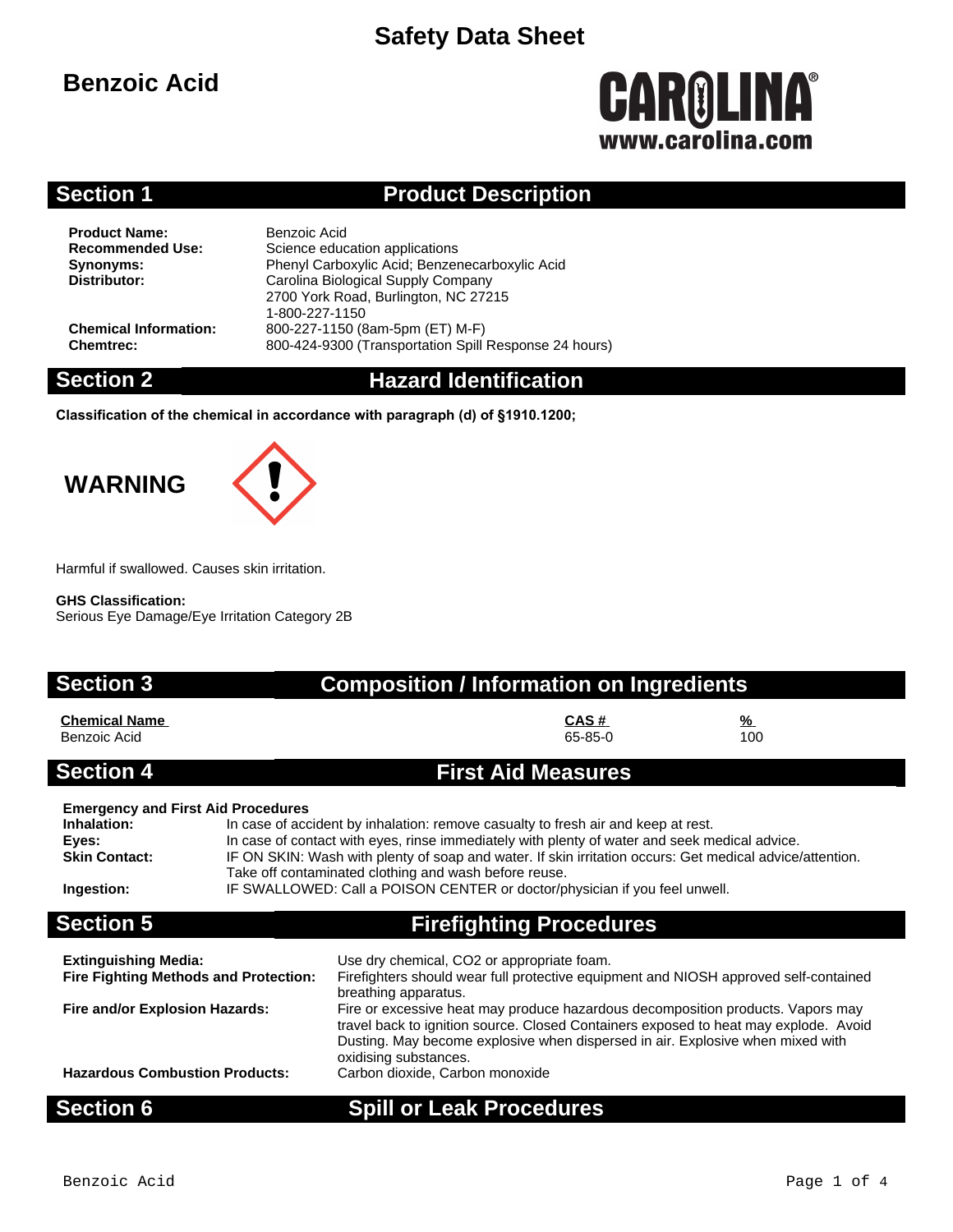## **Benzoic Acid**

# **CAROLINA®** www.carolina.com

### **Section 1 Product Description**

**Product Name:** Benzoic Acid<br> **Recommended Use:** Science educ

**Science education applications Synonyms:** Phenyl Carboxylic Acid; Benzenecarboxylic Acid **Distributor:** Carolina Biological Supply Company 2700 York Road, Burlington, NC 27215 1-800-227-1150 **Chemical Information:** 800-227-1150 (8am-5pm (ET) M-F) **Chemtrec:** 800-424-9300 (Transportation Spill Response 24 hours)

### **Section 2 Hazard Identification**

**Classification of the chemical in accordance with paragraph (d) of §1910.1200;**

# **WARNING**



### **GHS Classification:**

Serious Eye Damage/Eye Irritation Category 2B

# **Section 3 Composition / Information on Ingredients Chemical Name CAS # %**

Benzoic Acid

### **Section 4 First Aid Measures**

### **Emergency and First Aid Procedures**

| Inhalation:          | In case of accident by inhalation: remove casualty to fresh air and keep at rest.                        |
|----------------------|----------------------------------------------------------------------------------------------------------|
| Eyes:                | In case of contact with eyes, rinse immediately with plenty of water and seek medical advice.            |
| <b>Skin Contact:</b> | IF ON SKIN: Wash with plenty of soap and water. If skin irritation occurs: Get medical advice/attention. |
|                      | Take off contaminated clothing and wash before reuse.                                                    |
| Ingestion:           | IF SWALLOWED: Call a POISON CENTER or doctor/physician if you feel unwell.                               |

## **Section 5 Firefighting Procedures**

| <b>Extinguishing Media:</b>                  | Use dry chemical, CO2 or appropriate foam.                                                                                                                                                                                                                                         |
|----------------------------------------------|------------------------------------------------------------------------------------------------------------------------------------------------------------------------------------------------------------------------------------------------------------------------------------|
| <b>Fire Fighting Methods and Protection:</b> | Firefighters should wear full protective equipment and NIOSH approved self-contained                                                                                                                                                                                               |
|                                              | breathing apparatus.                                                                                                                                                                                                                                                               |
| Fire and/or Explosion Hazards:               | Fire or excessive heat may produce hazardous decomposition products. Vapors may<br>travel back to ignition source. Closed Containers exposed to heat may explode. Avoid<br>Dusting. May become explosive when dispersed in air. Explosive when mixed with<br>oxidising substances. |
| <b>Hazardous Combustion Products:</b>        | Carbon dioxide, Carbon monoxide                                                                                                                                                                                                                                                    |

## **Section 6 Spill or Leak Procedures**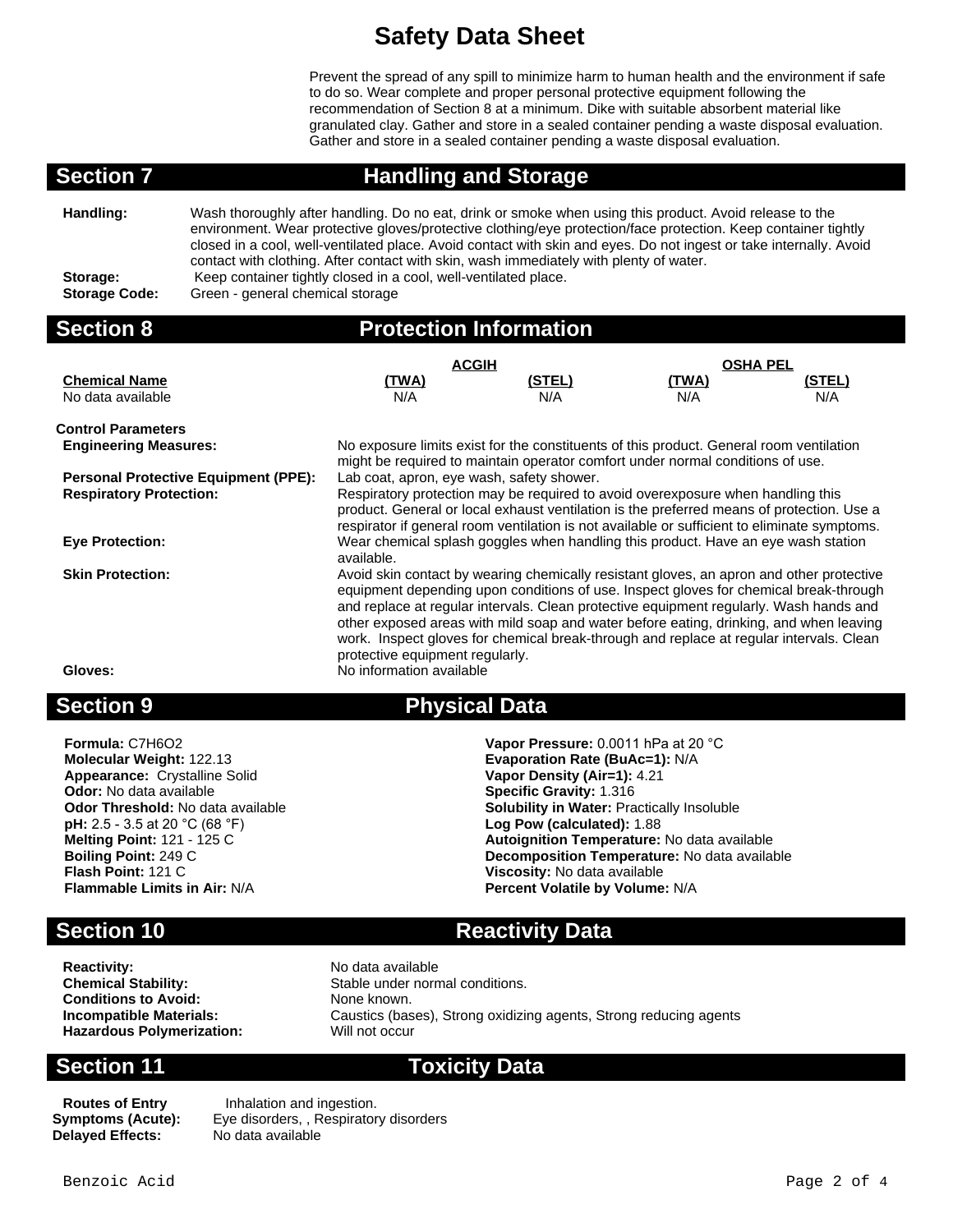Prevent the spread of any spill to minimize harm to human health and the environment if safe to do so. Wear complete and proper personal protective equipment following the recommendation of Section 8 at a minimum. Dike with suitable absorbent material like granulated clay. Gather and store in a sealed container pending a waste disposal evaluation. Gather and store in a sealed container pending a waste disposal evaluation.

**Section 7 Handling and Storage**

| Handling:            | Wash thoroughly after handling. Do no eat, drink or smoke when using this product. Avoid release to the<br>environment. Wear protective gloves/protective clothing/eye protection/face protection. Keep container tightly<br>closed in a cool, well-ventilated place. Avoid contact with skin and eyes. Do not ingest or take internally. Avoid<br>contact with clothing. After contact with skin, wash immediately with plenty of water. |
|----------------------|-------------------------------------------------------------------------------------------------------------------------------------------------------------------------------------------------------------------------------------------------------------------------------------------------------------------------------------------------------------------------------------------------------------------------------------------|
| Storage:             | Keep container tightly closed in a cool, well-ventilated place.                                                                                                                                                                                                                                                                                                                                                                           |
| <b>Storage Code:</b> | Green - general chemical storage                                                                                                                                                                                                                                                                                                                                                                                                          |

| <b>Section 8</b>                                                              | <b>Protection Information</b>                                                                                                                                                                                                                                                                                                                                                                                                                                                                                                   |        |                 |        |
|-------------------------------------------------------------------------------|---------------------------------------------------------------------------------------------------------------------------------------------------------------------------------------------------------------------------------------------------------------------------------------------------------------------------------------------------------------------------------------------------------------------------------------------------------------------------------------------------------------------------------|--------|-----------------|--------|
|                                                                               | <b>ACGIH</b>                                                                                                                                                                                                                                                                                                                                                                                                                                                                                                                    |        | <b>OSHA PEL</b> |        |
| <b>Chemical Name</b>                                                          | <u>(TWA)</u>                                                                                                                                                                                                                                                                                                                                                                                                                                                                                                                    | (STEL) | <u>(TWA)</u>    | (STEL) |
| No data available                                                             | N/A                                                                                                                                                                                                                                                                                                                                                                                                                                                                                                                             | N/A    | N/A             | N/A    |
| <b>Control Parameters</b>                                                     |                                                                                                                                                                                                                                                                                                                                                                                                                                                                                                                                 |        |                 |        |
| <b>Engineering Measures:</b>                                                  | No exposure limits exist for the constituents of this product. General room ventilation                                                                                                                                                                                                                                                                                                                                                                                                                                         |        |                 |        |
| <b>Personal Protective Equipment (PPE):</b><br><b>Respiratory Protection:</b> | might be required to maintain operator comfort under normal conditions of use.<br>Lab coat, apron, eye wash, safety shower.<br>Respiratory protection may be required to avoid overexposure when handling this<br>product. General or local exhaust ventilation is the preferred means of protection. Use a<br>respirator if general room ventilation is not available or sufficient to eliminate symptoms.                                                                                                                     |        |                 |        |
| <b>Eye Protection:</b>                                                        | Wear chemical splash goggles when handling this product. Have an eye wash station<br>available.                                                                                                                                                                                                                                                                                                                                                                                                                                 |        |                 |        |
| <b>Skin Protection:</b><br>Gloves:                                            | Avoid skin contact by wearing chemically resistant gloves, an apron and other protective<br>equipment depending upon conditions of use. Inspect gloves for chemical break-through<br>and replace at regular intervals. Clean protective equipment regularly. Wash hands and<br>other exposed areas with mild soap and water before eating, drinking, and when leaving<br>work. Inspect gloves for chemical break-through and replace at regular intervals. Clean<br>protective equipment regularly.<br>No information available |        |                 |        |
| Saction Q                                                                     | Physical Data                                                                                                                                                                                                                                                                                                                                                                                                                                                                                                                   |        |                 |        |

**Appearance:** Crystalline Solid **Vapor Density (Air=1):** 4.21 **Odor:** No data available **Specific Gravity:** 1.316 **pH:** 2.5 - 3.5 at 20 °C (68 °F)<br>**Melting Point:** 121 - 125 C **Flash Point:** 121 C **Viscosity:** No data available

## **Section 9 Physical Data**

**Formula:** C7H6O2 **Vapor Pressure:** 0.0011 hPa at 20 °C **Evaporation Rate (BuAc=1): N/A Odor Threshold:** No data available **Solubility in Water:** Practically Insoluble **pH:** 2.5 - 3.5 at 20 °C (68 °F) **Solubility Log Pow (calculated):** 1.88 **Melting Point:** 121 - 125 C<br> **Boiling Point:** 249 C<br> **Boiling Point:** 249 C **Boiling Point:** 249 C<br> **Boiling Point:** 121 C<br> **Plash Point:** 121 C **Percent Volatile by Volume: N/A** 

### **Section 10 Reactivity Data**

**Reactivity:** No data available<br> **Chemical Stability:** No data available<br>
Stable under norm **Conditions to Avoid:** None known. **Hazardous Polymerization:** Will not occur

Stable under normal conditions. **Incompatible Materials:** Caustics (bases), Strong oxidizing agents, Strong reducing agents

### **Section 11 Toxicity Data**

**Delayed Effects:** 

**Routes of Entry Inhalation and ingestion. Symptoms (Acute):** Eye disorders, , Respiratory disorders<br>**Delaved Effects:** No data available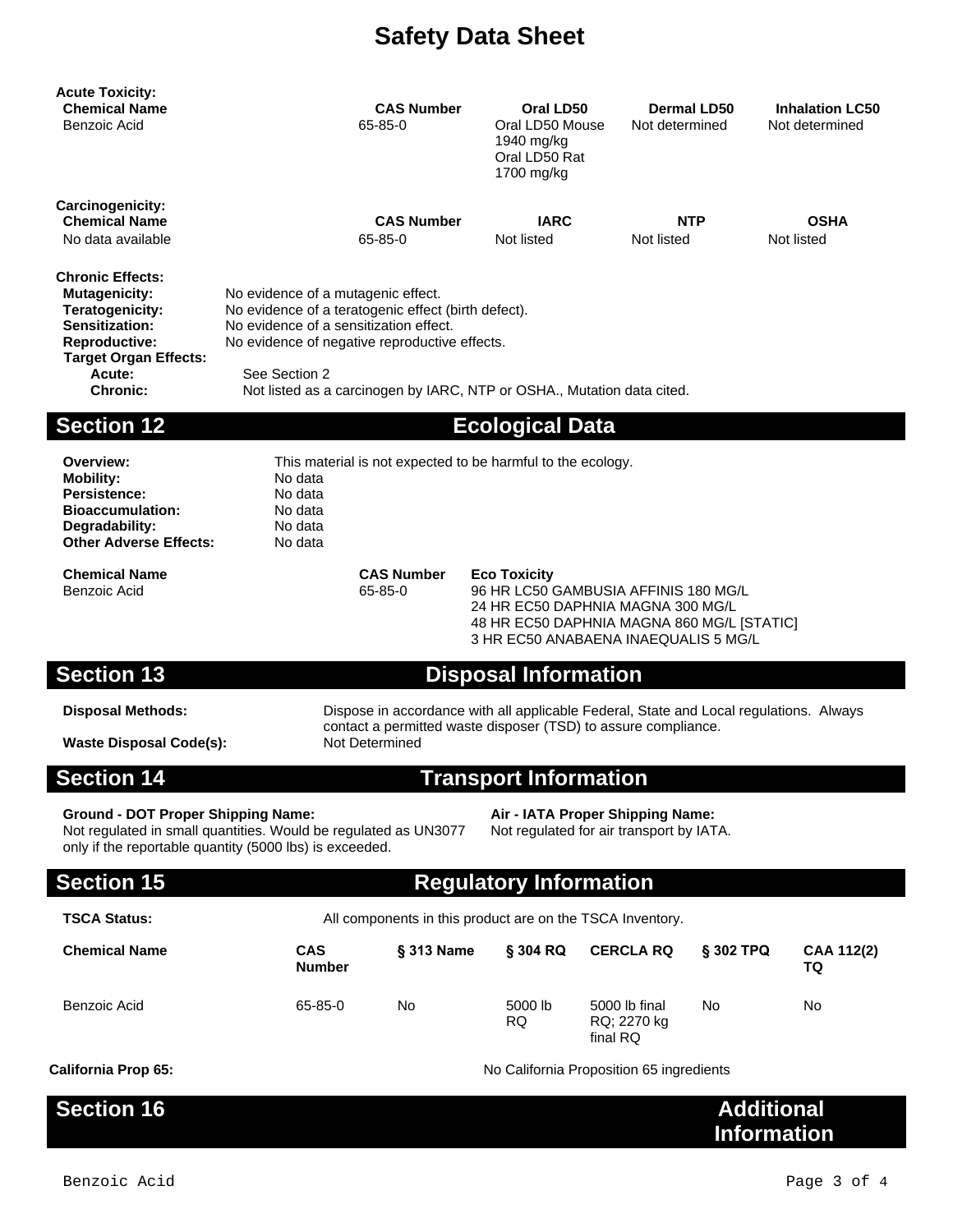| <b>Acute Toxicity:</b><br><b>Chemical Name</b><br>Benzoic Acid                                                                                                            | <b>CAS Number</b><br>65-85-0                                                                                                                                                                                                                                                    | Oral LD50<br>Oral LD50 Mouse<br>1940 mg/kg<br>Oral LD50 Rat<br>1700 mg/kg | Dermal LD50<br>Not determined | <b>Inhalation LC50</b><br>Not determined |
|---------------------------------------------------------------------------------------------------------------------------------------------------------------------------|---------------------------------------------------------------------------------------------------------------------------------------------------------------------------------------------------------------------------------------------------------------------------------|---------------------------------------------------------------------------|-------------------------------|------------------------------------------|
| <b>Carcinogenicity:</b><br><b>Chemical Name</b><br>No data available                                                                                                      | <b>CAS Number</b><br>65-85-0                                                                                                                                                                                                                                                    | <b>IARC</b><br>Not listed                                                 | <b>NTP</b><br>Not listed      | <b>OSHA</b><br>Not listed                |
| <b>Chronic Effects:</b><br><b>Mutagenicity:</b><br>Teratogenicity:<br>Sensitization:<br><b>Reproductive:</b><br><b>Target Organ Effects:</b><br>Acute:<br><b>Chronic:</b> | No evidence of a mutagenic effect.<br>No evidence of a teratogenic effect (birth defect).<br>No evidence of a sensitization effect.<br>No evidence of negative reproductive effects.<br>See Section 2<br>Not listed as a carcinogen by IARC, NTP or OSHA., Mutation data cited. |                                                                           |                               |                                          |
| <b>Section 12</b>                                                                                                                                                         |                                                                                                                                                                                                                                                                                 | <b>Ecological Data</b>                                                    |                               |                                          |
| Overview:<br><b>Mobility:</b>                                                                                                                                             | This material is not expected to be harmful to the ecology.<br>No data                                                                                                                                                                                                          |                                                                           |                               |                                          |

Persistence: No data **Bioaccumulation:** No data<br> **Degradability:** No data **Degradability:** No data<br> **Other Adverse Effects:** No data **Other Adverse Effects:** 

**Chemical Name CAS Number Eco Toxicity**

Benzoic Acid 65-85-0 96 HR LC50 GAMBUSIA AFFINIS 180 MG/L 24 HR EC50 DAPHNIA MAGNA 300 MG/L 48 HR EC50 DAPHNIA MAGNA 860 MG/L [STATIC] 3 HR EC50 ANABAENA INAEQUALIS 5 MG/L

### **Section 13 Disposal Information**

### **Disposal Methods:** Dispose in accordance with all applicable Federal, State and Local regulations. Always contact a permitted waste disposer (TSD) to assure compliance. **Waste Disposal Code(s):** Not Determined

### **Section 14 Transport Information**

### **Ground - DOT Proper Shipping Name: Air - IATA Proper Shipping Name:**

Not regulated in small quantities. Would be regulated as UN3077 only if the reportable quantity (5000 lbs) is exceeded.

Not regulated for air transport by IATA.

### **Section 15 Regulatory Information**

| <b>TSCA Status:</b> | All components in this product are on the TSCA Inventory. |
|---------------------|-----------------------------------------------------------|
|                     |                                                           |

| <b>Chemical Name</b> | <b>CAS</b><br><b>Number</b> | <b>§ 313 Name</b> | § 304 RQ             | <b>CERCLA RQ</b>                         | <b>S 302 TPQ</b> | <b>CAA 112(2)</b><br>TQ |
|----------------------|-----------------------------|-------------------|----------------------|------------------------------------------|------------------|-------------------------|
| Benzoic Acid         | 65-85-0                     | No                | 5000 lb<br><b>RQ</b> | 5000 lb final<br>RQ: 2270 kg<br>final RQ | No               | No                      |

**Section 16** 

**California Prop 65:** California Proposition 65 ingredients

| <b>Additional</b>  |
|--------------------|
| <b>Information</b> |